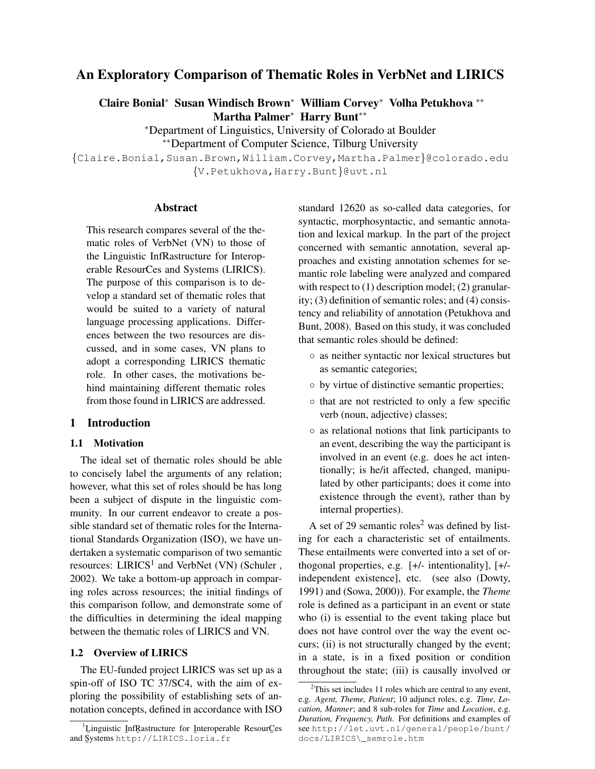# An Exploratory Comparison of Thematic Roles in VerbNet and LIRICS

Claire Bonial<sup>∗</sup> Susan Windisch Brown<sup>∗</sup> William Corvey<sup>∗</sup> Volha Petukhova ∗∗ Martha Palmer<sup>∗</sup> Harry Bunt∗∗

> <sup>∗</sup>Department of Linguistics, University of Colorado at Boulder ∗∗Department of Computer Science, Tilburg University

{Claire.Bonial,Susan.Brown,William.Corvey,Martha.Palmer}@colorado.edu {V.Petukhova,Harry.Bunt}@uvt.nl

## Abstract

This research compares several of the thematic roles of VerbNet (VN) to those of the Linguistic InfRastructure for Interoperable ResourCes and Systems (LIRICS). The purpose of this comparison is to develop a standard set of thematic roles that would be suited to a variety of natural language processing applications. Differences between the two resources are discussed, and in some cases, VN plans to adopt a corresponding LIRICS thematic role. In other cases, the motivations behind maintaining different thematic roles from those found in LIRICS are addressed.

## 1 Introduction

## 1.1 Motivation

The ideal set of thematic roles should be able to concisely label the arguments of any relation; however, what this set of roles should be has long been a subject of dispute in the linguistic community. In our current endeavor to create a possible standard set of thematic roles for the International Standards Organization (ISO), we have undertaken a systematic comparison of two semantic resources:  $LIRICS<sup>1</sup>$  and VerbNet (VN) (Schuler, 2002). We take a bottom-up approach in comparing roles across resources; the initial findings of this comparison follow, and demonstrate some of the difficulties in determining the ideal mapping between the thematic roles of LIRICS and VN.

## 1.2 Overview of LIRICS

The EU-funded project LIRICS was set up as a spin-off of ISO TC 37/SC4, with the aim of exploring the possibility of establishing sets of annotation concepts, defined in accordance with ISO standard 12620 as so-called data categories, for syntactic, morphosyntactic, and semantic annotation and lexical markup. In the part of the project concerned with semantic annotation, several approaches and existing annotation schemes for semantic role labeling were analyzed and compared with respect to  $(1)$  description model;  $(2)$  granularity; (3) definition of semantic roles; and (4) consistency and reliability of annotation (Petukhova and Bunt, 2008). Based on this study, it was concluded that semantic roles should be defined:

- as neither syntactic nor lexical structures but as semantic categories;
- by virtue of distinctive semantic properties;
- that are not restricted to only a few specific verb (noun, adjective) classes;
- as relational notions that link participants to an event, describing the way the participant is involved in an event (e.g. does he act intentionally; is he/it affected, changed, manipulated by other participants; does it come into existence through the event), rather than by internal properties).

A set of 29 semantic roles<sup>2</sup> was defined by listing for each a characteristic set of entailments. These entailments were converted into a set of orthogonal properties, e.g. [+/- intentionality], [+/ independent existence], etc. (see also (Dowty, 1991) and (Sowa, 2000)). For example, the *Theme* role is defined as a participant in an event or state who (i) is essential to the event taking place but does not have control over the way the event occurs; (ii) is not structurally changed by the event; in a state, is in a fixed position or condition throughout the state; (iii) is causally involved or

<sup>&</sup>lt;sup>1</sup>Linguistic InfRastructure for Interoperable ResourCes and Systems http://LIRICS.loria.fr ¯

<sup>&</sup>lt;sup>2</sup>This set includes 11 roles which are central to any event, e.g. *Agent, Theme, Patient*; 10 adjunct roles, e.g. *Time, Location, Manner*; and 8 sub-roles for *Time* and *Location*, e.g. *Duration, Frequency, Path*. For definitions and examples of see http://let.uvt.nl/general/people/bunt/ docs/LIRICS\\_semrole.htm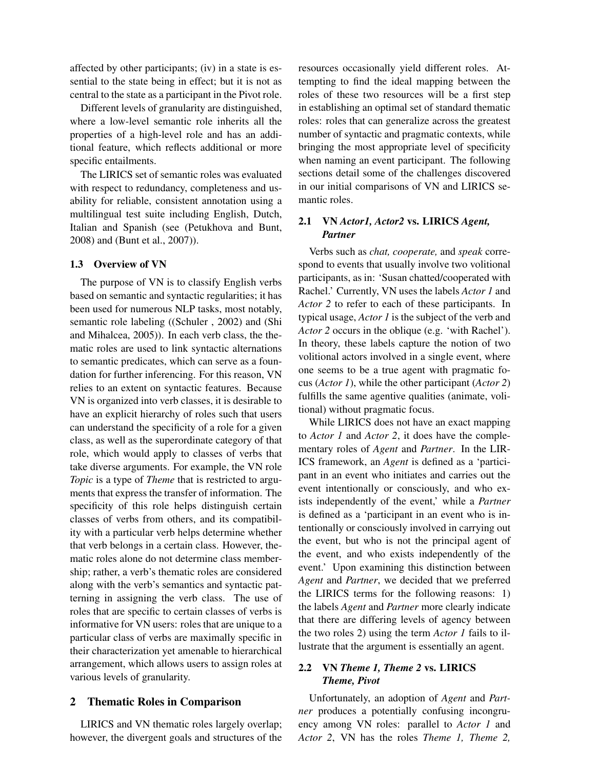affected by other participants; (iv) in a state is essential to the state being in effect; but it is not as central to the state as a participant in the Pivot role.

Different levels of granularity are distinguished, where a low-level semantic role inherits all the properties of a high-level role and has an additional feature, which reflects additional or more specific entailments.

The LIRICS set of semantic roles was evaluated with respect to redundancy, completeness and usability for reliable, consistent annotation using a multilingual test suite including English, Dutch, Italian and Spanish (see (Petukhova and Bunt, 2008) and (Bunt et al., 2007)).

#### 1.3 Overview of VN

The purpose of VN is to classify English verbs based on semantic and syntactic regularities; it has been used for numerous NLP tasks, most notably, semantic role labeling ((Schuler , 2002) and (Shi and Mihalcea, 2005)). In each verb class, the thematic roles are used to link syntactic alternations to semantic predicates, which can serve as a foundation for further inferencing. For this reason, VN relies to an extent on syntactic features. Because VN is organized into verb classes, it is desirable to have an explicit hierarchy of roles such that users can understand the specificity of a role for a given class, as well as the superordinate category of that role, which would apply to classes of verbs that take diverse arguments. For example, the VN role *Topic* is a type of *Theme* that is restricted to arguments that express the transfer of information. The specificity of this role helps distinguish certain classes of verbs from others, and its compatibility with a particular verb helps determine whether that verb belongs in a certain class. However, thematic roles alone do not determine class membership; rather, a verb's thematic roles are considered along with the verb's semantics and syntactic patterning in assigning the verb class. The use of roles that are specific to certain classes of verbs is informative for VN users: roles that are unique to a particular class of verbs are maximally specific in their characterization yet amenable to hierarchical arrangement, which allows users to assign roles at various levels of granularity.

### 2 Thematic Roles in Comparison

LIRICS and VN thematic roles largely overlap; however, the divergent goals and structures of the resources occasionally yield different roles. Attempting to find the ideal mapping between the roles of these two resources will be a first step in establishing an optimal set of standard thematic roles: roles that can generalize across the greatest number of syntactic and pragmatic contexts, while bringing the most appropriate level of specificity when naming an event participant. The following sections detail some of the challenges discovered in our initial comparisons of VN and LIRICS semantic roles.

# 2.1 VN *Actor1, Actor2* vs. LIRICS *Agent, Partner*

Verbs such as *chat, cooperate,* and *speak* correspond to events that usually involve two volitional participants, as in: 'Susan chatted/cooperated with Rachel.' Currently, VN uses the labels *Actor 1* and *Actor 2* to refer to each of these participants. In typical usage, *Actor 1* is the subject of the verb and *Actor 2* occurs in the oblique (e.g. 'with Rachel'). In theory, these labels capture the notion of two volitional actors involved in a single event, where one seems to be a true agent with pragmatic focus (*Actor 1*), while the other participant (*Actor 2*) fulfills the same agentive qualities (animate, volitional) without pragmatic focus.

While LIRICS does not have an exact mapping to *Actor 1* and *Actor 2*, it does have the complementary roles of *Agent* and *Partner*. In the LIR-ICS framework, an *Agent* is defined as a 'participant in an event who initiates and carries out the event intentionally or consciously, and who exists independently of the event,' while a *Partner* is defined as a 'participant in an event who is intentionally or consciously involved in carrying out the event, but who is not the principal agent of the event, and who exists independently of the event.' Upon examining this distinction between *Agent* and *Partner*, we decided that we preferred the LIRICS terms for the following reasons: 1) the labels *Agent* and *Partner* more clearly indicate that there are differing levels of agency between the two roles 2) using the term *Actor 1* fails to illustrate that the argument is essentially an agent.

## 2.2 VN *Theme 1, Theme 2* vs. LIRICS *Theme, Pivot*

Unfortunately, an adoption of *Agent* and *Partner* produces a potentially confusing incongruency among VN roles: parallel to *Actor 1* and *Actor 2*, VN has the roles *Theme 1, Theme 2,*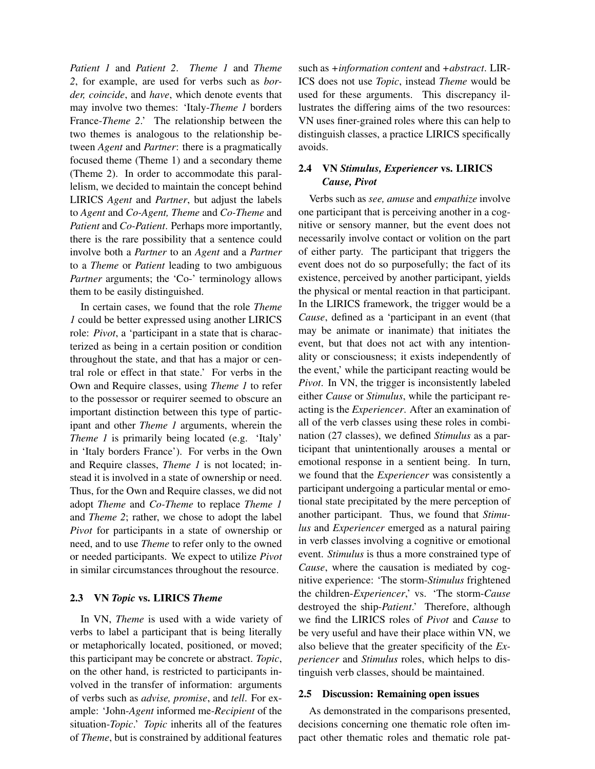*Patient 1* and *Patient 2*. *Theme 1* and *Theme 2*, for example, are used for verbs such as *border, coincide*, and *have*, which denote events that may involve two themes: 'Italy-*Theme 1* borders France-*Theme 2*.' The relationship between the two themes is analogous to the relationship between *Agent* and *Partner*: there is a pragmatically focused theme (Theme 1) and a secondary theme (Theme 2). In order to accommodate this parallelism, we decided to maintain the concept behind LIRICS *Agent* and *Partner*, but adjust the labels to *Agent* and *Co-Agent, Theme* and *Co-Theme* and *Patient* and *Co-Patient*. Perhaps more importantly, there is the rare possibility that a sentence could involve both a *Partner* to an *Agent* and a *Partner* to a *Theme* or *Patient* leading to two ambiguous *Partner* arguments; the 'Co-' terminology allows them to be easily distinguished.

In certain cases, we found that the role *Theme 1* could be better expressed using another LIRICS role: *Pivot*, a 'participant in a state that is characterized as being in a certain position or condition throughout the state, and that has a major or central role or effect in that state.' For verbs in the Own and Require classes, using *Theme 1* to refer to the possessor or requirer seemed to obscure an important distinction between this type of participant and other *Theme 1* arguments, wherein the *Theme 1* is primarily being located (e.g. 'Italy' in 'Italy borders France'). For verbs in the Own and Require classes, *Theme 1* is not located; instead it is involved in a state of ownership or need. Thus, for the Own and Require classes, we did not adopt *Theme* and *Co-Theme* to replace *Theme 1* and *Theme 2*; rather, we chose to adopt the label *Pivot* for participants in a state of ownership or need, and to use *Theme* to refer only to the owned or needed participants. We expect to utilize *Pivot* in similar circumstances throughout the resource.

### 2.3 VN *Topic* vs. LIRICS *Theme*

In VN, *Theme* is used with a wide variety of verbs to label a participant that is being literally or metaphorically located, positioned, or moved; this participant may be concrete or abstract. *Topic*, on the other hand, is restricted to participants involved in the transfer of information: arguments of verbs such as *advise, promise*, and *tell*. For example: 'John-*Agent* informed me-*Recipient* of the situation-*Topic*.' *Topic* inherits all of the features of *Theme*, but is constrained by additional features such as *+information content* and *+abstract*. LIR-ICS does not use *Topic*, instead *Theme* would be used for these arguments. This discrepancy illustrates the differing aims of the two resources: VN uses finer-grained roles where this can help to distinguish classes, a practice LIRICS specifically avoids.

# 2.4 VN *Stimulus, Experiencer* vs. LIRICS *Cause, Pivot*

Verbs such as *see, amuse* and *empathize* involve one participant that is perceiving another in a cognitive or sensory manner, but the event does not necessarily involve contact or volition on the part of either party. The participant that triggers the event does not do so purposefully; the fact of its existence, perceived by another participant, yields the physical or mental reaction in that participant. In the LIRICS framework, the trigger would be a *Cause*, defined as a 'participant in an event (that may be animate or inanimate) that initiates the event, but that does not act with any intentionality or consciousness; it exists independently of the event,' while the participant reacting would be *Pivot*. In VN, the trigger is inconsistently labeled either *Cause* or *Stimulus*, while the participant reacting is the *Experiencer*. After an examination of all of the verb classes using these roles in combination (27 classes), we defined *Stimulus* as a participant that unintentionally arouses a mental or emotional response in a sentient being. In turn, we found that the *Experiencer* was consistently a participant undergoing a particular mental or emotional state precipitated by the mere perception of another participant. Thus, we found that *Stimulus* and *Experiencer* emerged as a natural pairing in verb classes involving a cognitive or emotional event. *Stimulus* is thus a more constrained type of *Cause*, where the causation is mediated by cognitive experience: 'The storm-*Stimulus* frightened the children-*Experiencer*,' vs. 'The storm-*Cause* destroyed the ship-*Patient*.' Therefore, although we find the LIRICS roles of *Pivot* and *Cause* to be very useful and have their place within VN, we also believe that the greater specificity of the *Experiencer* and *Stimulus* roles, which helps to distinguish verb classes, should be maintained.

#### 2.5 Discussion: Remaining open issues

As demonstrated in the comparisons presented, decisions concerning one thematic role often impact other thematic roles and thematic role pat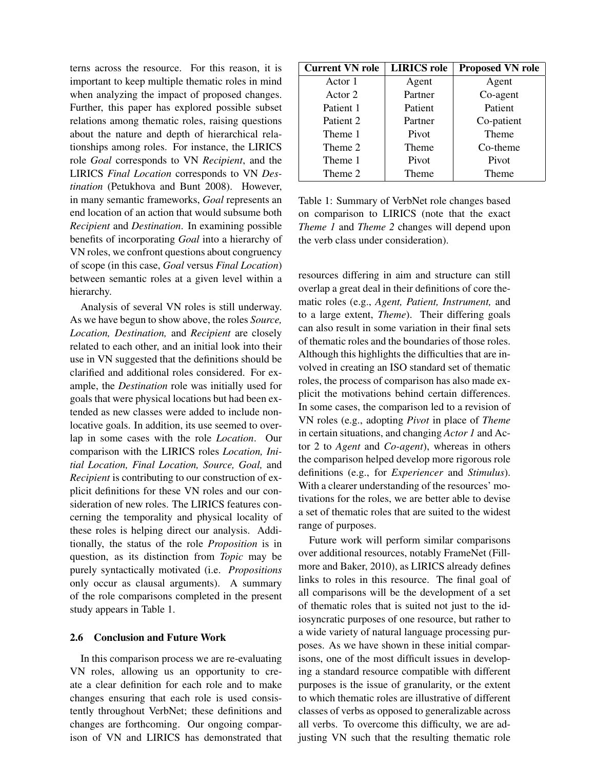terns across the resource. For this reason, it is important to keep multiple thematic roles in mind when analyzing the impact of proposed changes. Further, this paper has explored possible subset relations among thematic roles, raising questions about the nature and depth of hierarchical relationships among roles. For instance, the LIRICS role *Goal* corresponds to VN *Recipient*, and the LIRICS *Final Location* corresponds to VN *Destination* (Petukhova and Bunt 2008). However, in many semantic frameworks, *Goal* represents an end location of an action that would subsume both *Recipient* and *Destination*. In examining possible benefits of incorporating *Goal* into a hierarchy of VN roles, we confront questions about congruency of scope (in this case, *Goal* versus *Final Location*) between semantic roles at a given level within a hierarchy.

Analysis of several VN roles is still underway. As we have begun to show above, the roles *Source, Location, Destination,* and *Recipient* are closely related to each other, and an initial look into their use in VN suggested that the definitions should be clarified and additional roles considered. For example, the *Destination* role was initially used for goals that were physical locations but had been extended as new classes were added to include nonlocative goals. In addition, its use seemed to overlap in some cases with the role *Location*. Our comparison with the LIRICS roles *Location, Initial Location, Final Location, Source, Goal,* and *Recipient* is contributing to our construction of explicit definitions for these VN roles and our consideration of new roles. The LIRICS features concerning the temporality and physical locality of these roles is helping direct our analysis. Additionally, the status of the role *Proposition* is in question, as its distinction from *Topic* may be purely syntactically motivated (i.e. *Propositions* only occur as clausal arguments). A summary of the role comparisons completed in the present study appears in Table 1.

#### 2.6 Conclusion and Future Work

In this comparison process we are re-evaluating VN roles, allowing us an opportunity to create a clear definition for each role and to make changes ensuring that each role is used consistently throughout VerbNet; these definitions and changes are forthcoming. Our ongoing comparison of VN and LIRICS has demonstrated that

| <b>Current VN role</b> | <b>LIRICS</b> role | <b>Proposed VN role</b> |
|------------------------|--------------------|-------------------------|
| Actor 1                | Agent              | Agent                   |
| Actor 2                | Partner            | Co-agent                |
| Patient 1              | Patient            | Patient                 |
| Patient 2              | Partner            | Co-patient              |
| Theme 1                | Pivot              | <b>Theme</b>            |
| Theme 2                | Theme              | Co-theme                |
| Theme 1                | Pivot              | Pivot                   |
| Theme 2                | Theme              | Theme                   |

Table 1: Summary of VerbNet role changes based on comparison to LIRICS (note that the exact *Theme 1* and *Theme 2* changes will depend upon the verb class under consideration).

resources differing in aim and structure can still overlap a great deal in their definitions of core thematic roles (e.g., *Agent, Patient, Instrument,* and to a large extent, *Theme*). Their differing goals can also result in some variation in their final sets of thematic roles and the boundaries of those roles. Although this highlights the difficulties that are involved in creating an ISO standard set of thematic roles, the process of comparison has also made explicit the motivations behind certain differences. In some cases, the comparison led to a revision of VN roles (e.g., adopting *Pivot* in place of *Theme* in certain situations, and changing *Actor 1* and Actor 2 to *Agent* and *Co-agent*), whereas in others the comparison helped develop more rigorous role definitions (e.g., for *Experiencer* and *Stimulus*). With a clearer understanding of the resources' motivations for the roles, we are better able to devise a set of thematic roles that are suited to the widest range of purposes.

Future work will perform similar comparisons over additional resources, notably FrameNet (Fillmore and Baker, 2010), as LIRICS already defines links to roles in this resource. The final goal of all comparisons will be the development of a set of thematic roles that is suited not just to the idiosyncratic purposes of one resource, but rather to a wide variety of natural language processing purposes. As we have shown in these initial comparisons, one of the most difficult issues in developing a standard resource compatible with different purposes is the issue of granularity, or the extent to which thematic roles are illustrative of different classes of verbs as opposed to generalizable across all verbs. To overcome this difficulty, we are adjusting VN such that the resulting thematic role